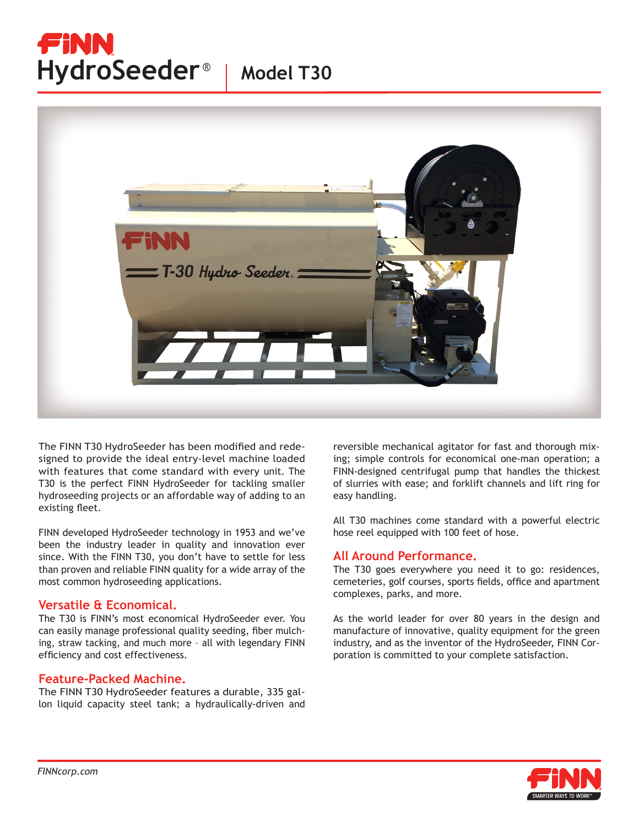# FINN HydroSeeder<sup>®</sup> | Model T30



The FINN T30 HydroSeeder has been modified and redesigned to provide the ideal entry-level machine loaded with features that come standard with every unit. The T30 is the perfect FINN HydroSeeder for tackling smaller hydroseeding projects or an affordable way of adding to an existing fleet.

FINN developed HydroSeeder technology in 1953 and we've been the industry leader in quality and innovation ever since. With the FINN T30, you don't have to settle for less than proven and reliable FINN quality for a wide array of the most common hydroseeding applications.

#### **Versatile & Economical.**

The T30 is FINN's most economical HydroSeeder ever. You can easily manage professional quality seeding, fiber mulching, straw tacking, and much more – all with legendary FINN efficiency and cost effectiveness.

#### **Feature-Packed Machine.**

The FINN T30 HydroSeeder features a durable, 335 gallon liquid capacity steel tank; a hydraulically-driven and reversible mechanical agitator for fast and thorough mixing; simple controls for economical one-man operation; a FINN-designed centrifugal pump that handles the thickest of slurries with ease; and forklift channels and lift ring for easy handling.

All T30 machines come standard with a powerful electric hose reel equipped with 100 feet of hose.

### **All Around Performance.**

The T30 goes everywhere you need it to go: residences, cemeteries, golf courses, sports fields, office and apartment complexes, parks, and more.

As the world leader for over 80 years in the design and manufacture of innovative, quality equipment for the green industry, and as the inventor of the HydroSeeder, FINN Corporation is committed to your complete satisfaction.